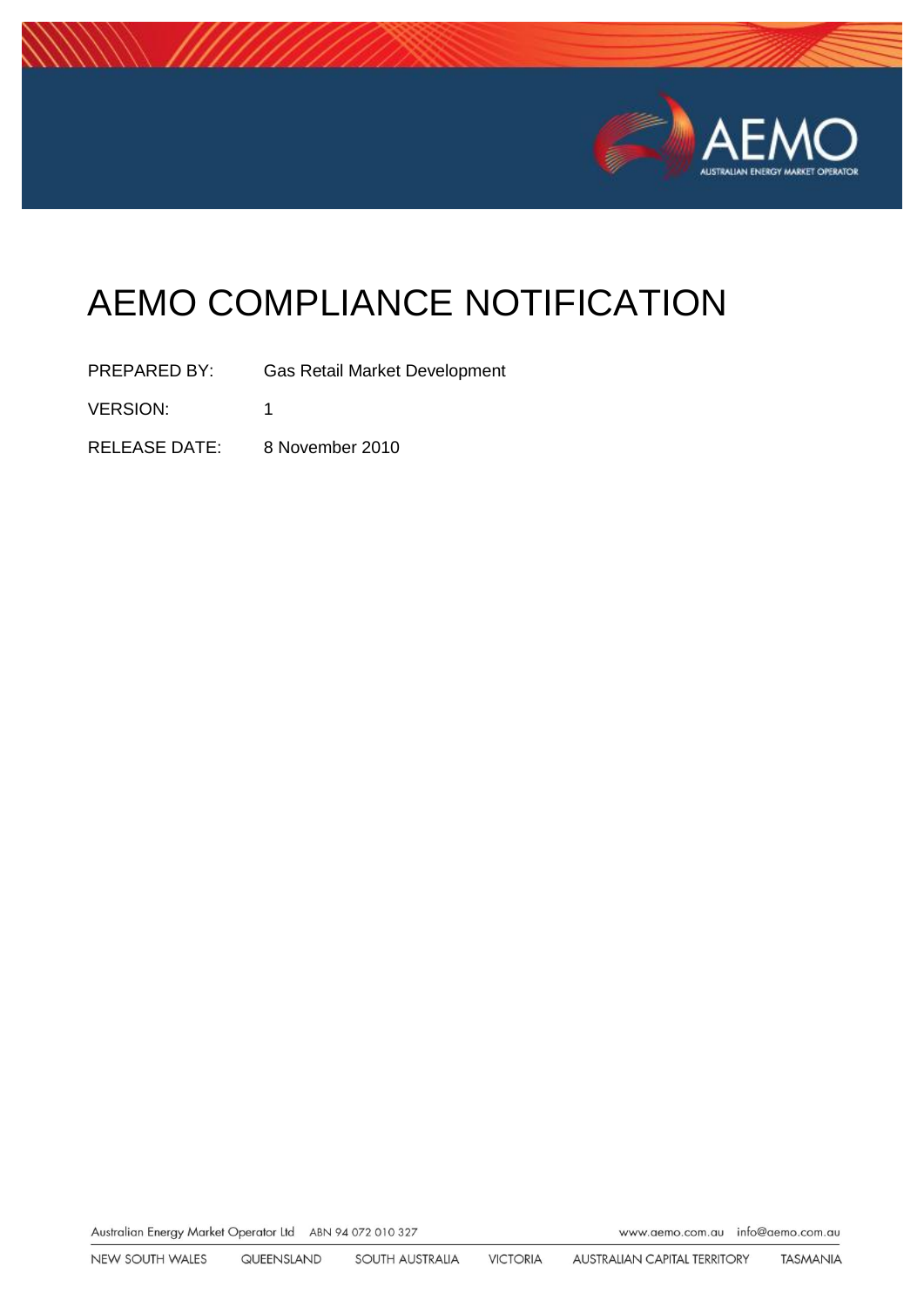

# AEMO COMPLIANCE NOTIFICATION

PREPARED BY: Gas Retail Market Development VERSION: 1 RELEASE DATE: 8 November 2010

Australian Energy Market Operator Ltd ABN 94 072 010 327

www.aemo.com.au info@aemo.com.au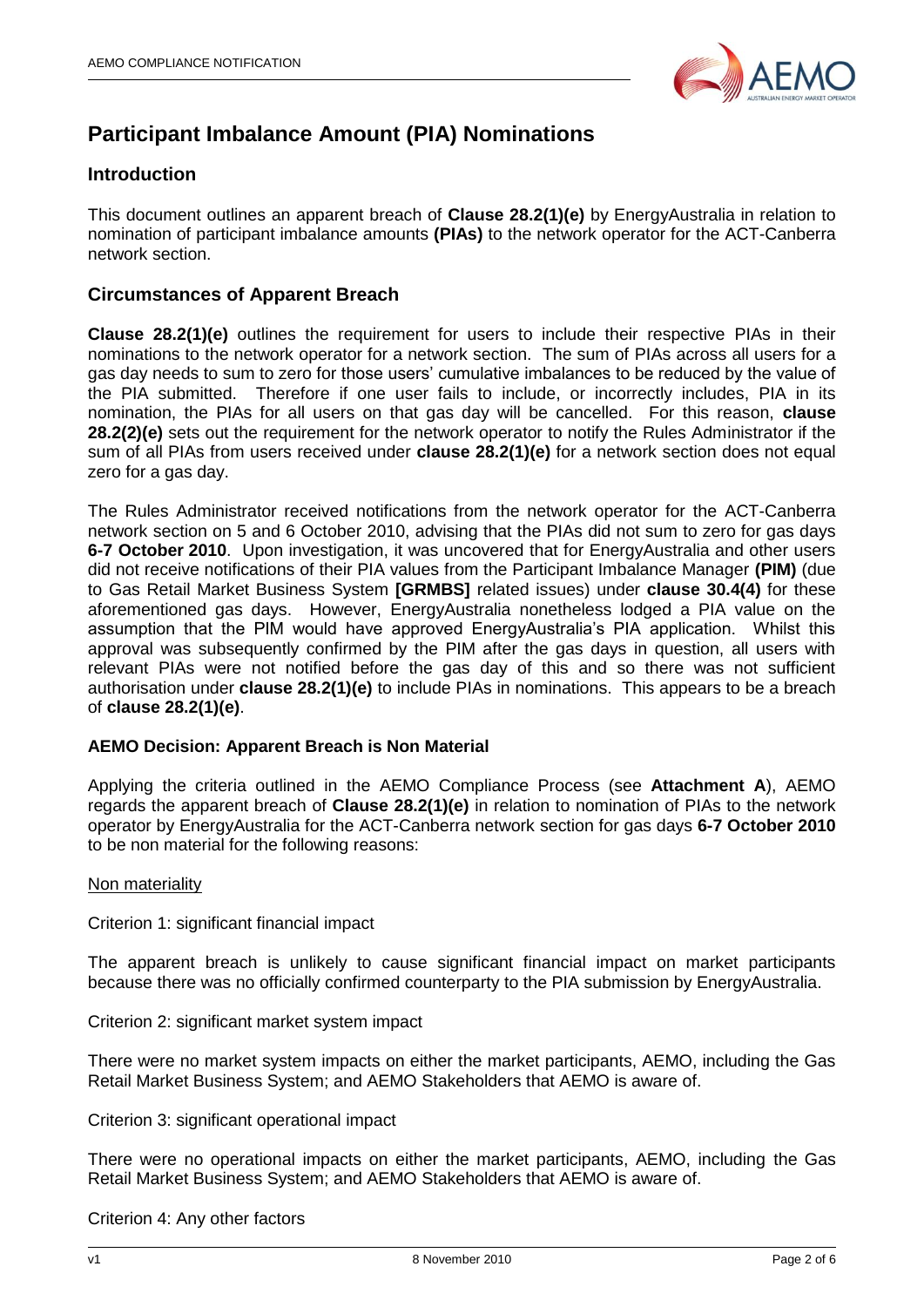

## **Participant Imbalance Amount (PIA) Nominations**

### **Introduction**

This document outlines an apparent breach of **Clause 28.2(1)(e)** by EnergyAustralia in relation to nomination of participant imbalance amounts **(PIAs)** to the network operator for the ACT-Canberra network section.

### **Circumstances of Apparent Breach**

**Clause 28.2(1)(e)** outlines the requirement for users to include their respective PIAs in their nominations to the network operator for a network section. The sum of PIAs across all users for a gas day needs to sum to zero for those users' cumulative imbalances to be reduced by the value of the PIA submitted. Therefore if one user fails to include, or incorrectly includes, PIA in its nomination, the PIAs for all users on that gas day will be cancelled. For this reason, **clause 28.2(2)(e)** sets out the requirement for the network operator to notify the Rules Administrator if the sum of all PIAs from users received under **clause 28.2(1)(e)** for a network section does not equal zero for a gas day.

The Rules Administrator received notifications from the network operator for the ACT-Canberra network section on 5 and 6 October 2010, advising that the PIAs did not sum to zero for gas days **6-7 October 2010**. Upon investigation, it was uncovered that for EnergyAustralia and other users did not receive notifications of their PIA values from the Participant Imbalance Manager **(PIM)** (due to Gas Retail Market Business System **[GRMBS]** related issues) under **clause 30.4(4)** for these aforementioned gas days. However, EnergyAustralia nonetheless lodged a PIA value on the assumption that the PIM would have approved EnergyAustralia's PIA application. Whilst this approval was subsequently confirmed by the PIM after the gas days in question, all users with relevant PIAs were not notified before the gas day of this and so there was not sufficient authorisation under **clause 28.2(1)(e)** to include PIAs in nominations. This appears to be a breach of **clause 28.2(1)(e)**.

### **AEMO Decision: Apparent Breach is Non Material**

Applying the criteria outlined in the AEMO Compliance Process (see **Attachment A**), AEMO regards the apparent breach of **Clause 28.2(1)(e)** in relation to nomination of PIAs to the network operator by EnergyAustralia for the ACT-Canberra network section for gas days **6-7 October 2010** to be non material for the following reasons:

#### Non materiality

Criterion 1: significant financial impact

The apparent breach is unlikely to cause significant financial impact on market participants because there was no officially confirmed counterparty to the PIA submission by EnergyAustralia.

Criterion 2: significant market system impact

There were no market system impacts on either the market participants, AEMO, including the Gas Retail Market Business System; and AEMO Stakeholders that AEMO is aware of.

Criterion 3: significant operational impact

There were no operational impacts on either the market participants, AEMO, including the Gas Retail Market Business System; and AEMO Stakeholders that AEMO is aware of.

Criterion 4: Any other factors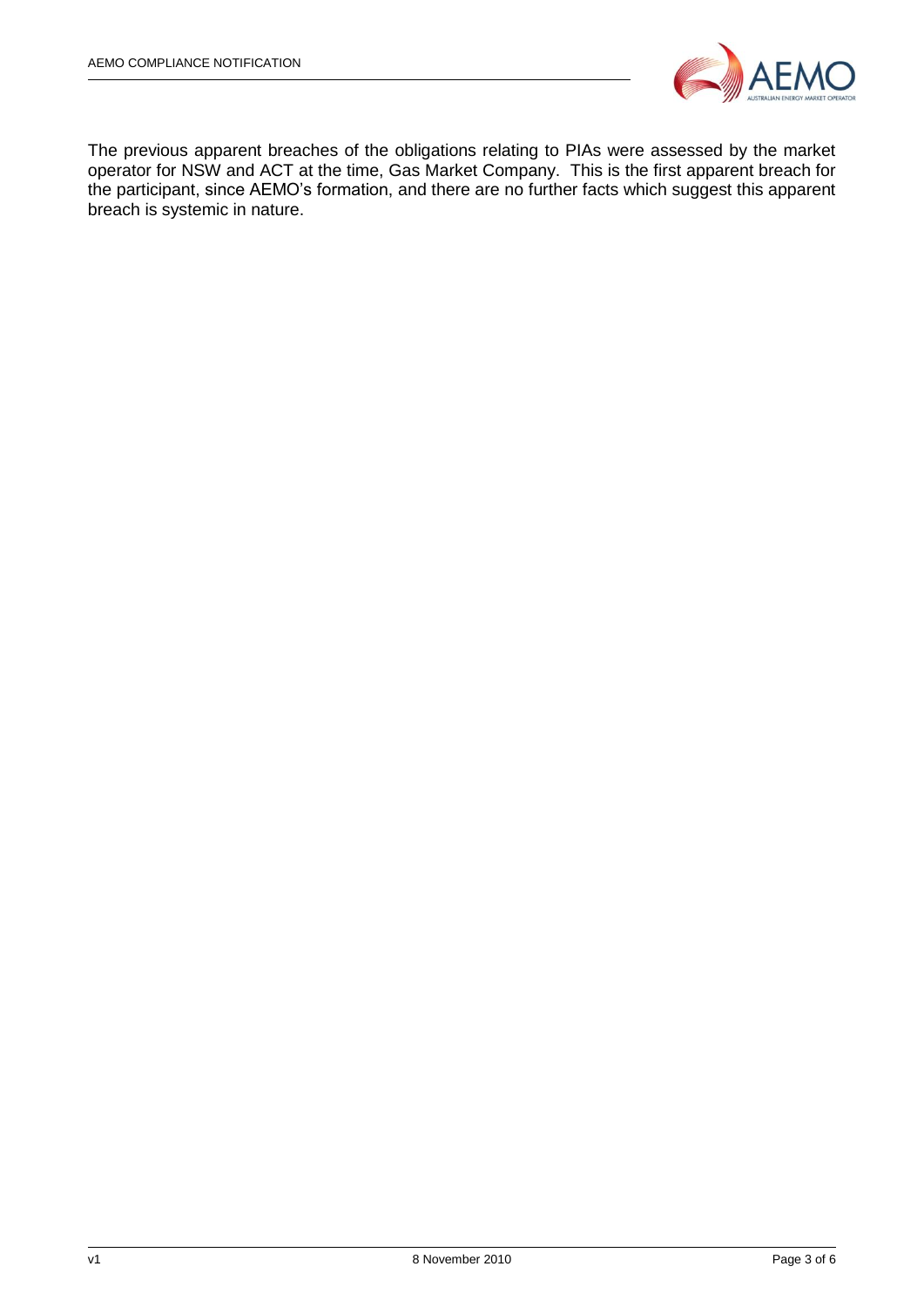

The previous apparent breaches of the obligations relating to PIAs were assessed by the market operator for NSW and ACT at the time, Gas Market Company. This is the first apparent breach for the participant, since AEMO's formation, and there are no further facts which suggest this apparent breach is systemic in nature.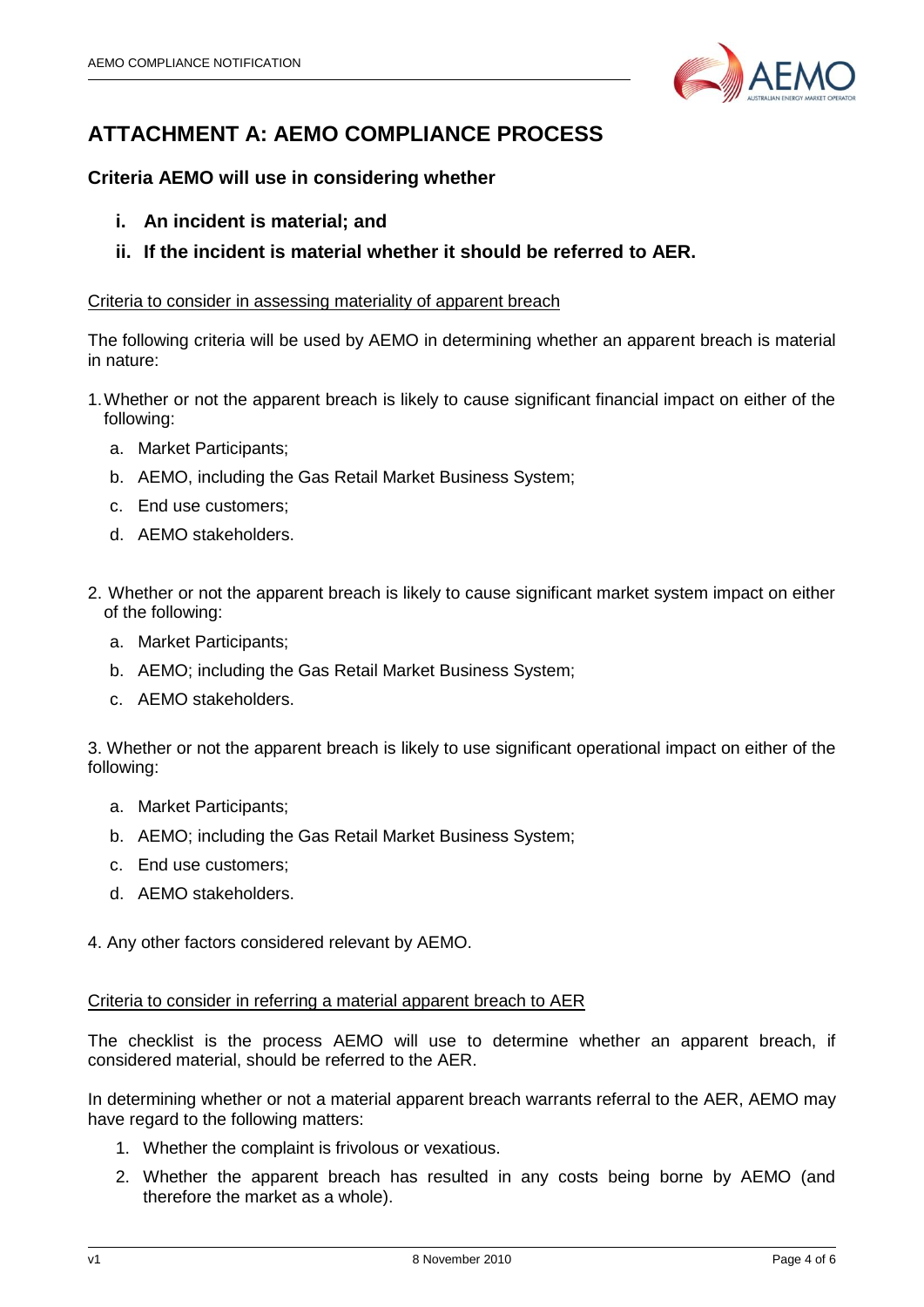

## **ATTACHMENT A: AEMO COMPLIANCE PROCESS**

### **Criteria AEMO will use in considering whether**

- **i. An incident is material; and**
- **ii. If the incident is material whether it should be referred to AER.**

### Criteria to consider in assessing materiality of apparent breach

The following criteria will be used by AEMO in determining whether an apparent breach is material in nature:

- 1.Whether or not the apparent breach is likely to cause significant financial impact on either of the following:
	- a. Market Participants;
	- b. AEMO, including the Gas Retail Market Business System;
	- c. End use customers;
	- d. AEMO stakeholders.
- 2. Whether or not the apparent breach is likely to cause significant market system impact on either of the following:
	- a. Market Participants;
	- b. AEMO; including the Gas Retail Market Business System;
	- c. AEMO stakeholders.

3. Whether or not the apparent breach is likely to use significant operational impact on either of the following:

- a. Market Participants;
- b. AEMO; including the Gas Retail Market Business System;
- c. End use customers;
- d. AEMO stakeholders.

4. Any other factors considered relevant by AEMO.

### Criteria to consider in referring a material apparent breach to AER

The checklist is the process AEMO will use to determine whether an apparent breach, if considered material, should be referred to the AER.

In determining whether or not a material apparent breach warrants referral to the AER, AEMO may have regard to the following matters:

- 1. Whether the complaint is frivolous or vexatious.
- 2. Whether the apparent breach has resulted in any costs being borne by AEMO (and therefore the market as a whole).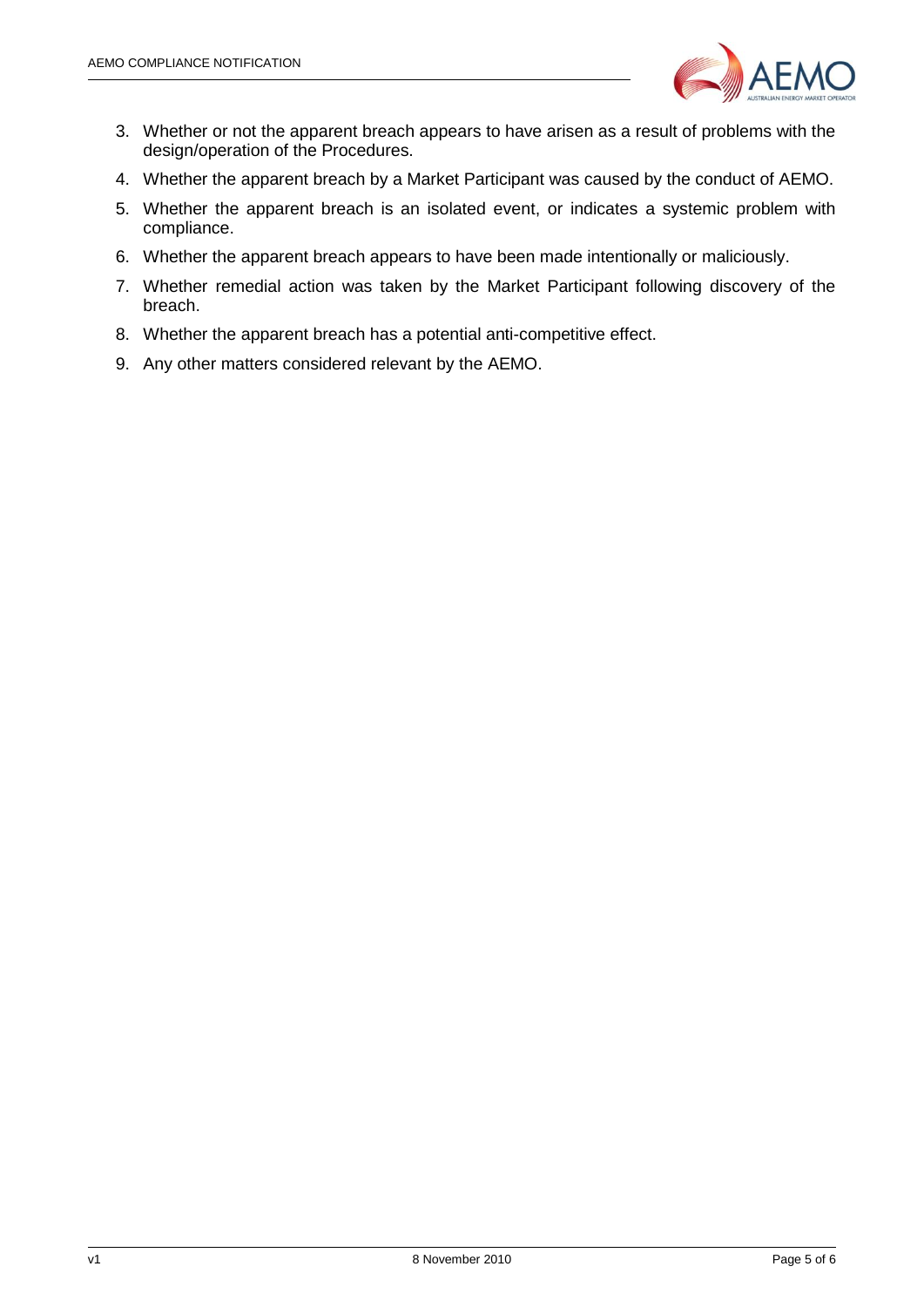

- 3. Whether or not the apparent breach appears to have arisen as a result of problems with the design/operation of the Procedures.
- 4. Whether the apparent breach by a Market Participant was caused by the conduct of AEMO.
- 5. Whether the apparent breach is an isolated event, or indicates a systemic problem with compliance.
- 6. Whether the apparent breach appears to have been made intentionally or maliciously.
- 7. Whether remedial action was taken by the Market Participant following discovery of the breach.
- 8. Whether the apparent breach has a potential anti-competitive effect.
- 9. Any other matters considered relevant by the AEMO.